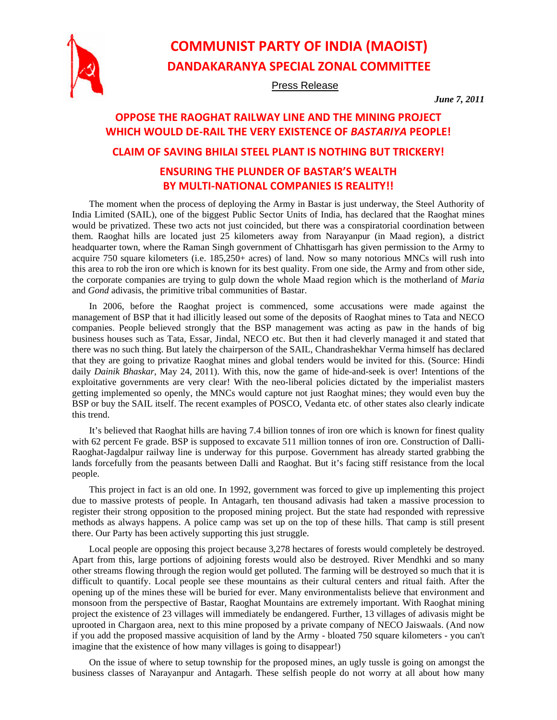

## **COMMUNIST PARTY OF INDIA (MAOIST) DANDAKARANYA SPECIAL ZONAL COMMITTEE**

Press Release

*June 7, 2011* 

## **OPPOSE THE RAOGHAT RAILWAY LINE AND THE MINING PROJECT WHICH WOULD DE‐RAIL THE VERY EXISTENCE OF** *BASTARIYA* **PEOPLE! CLAIM OF SAVING BHILAI STEEL PLANT IS NOTHING BUT TRICKERY!**

## **ENSURING THE PLUNDER OF BASTAR'S WEALTH BY MULTI‐NATIONAL COMPANIES IS REALITY!!**

The moment when the process of deploying the Army in Bastar is just underway, the Steel Authority of India Limited (SAIL), one of the biggest Public Sector Units of India, has declared that the Raoghat mines would be privatized. These two acts not just coincided, but there was a conspiratorial coordination between them. Raoghat hills are located just 25 kilometers away from Narayanpur (in Maad region), a district headquarter town, where the Raman Singh government of Chhattisgarh has given permission to the Army to acquire 750 square kilometers (i.e. 185,250+ acres) of land. Now so many notorious MNCs will rush into this area to rob the iron ore which is known for its best quality. From one side, the Army and from other side, the corporate companies are trying to gulp down the whole Maad region which is the motherland of *Maria*  and *Gond* adivasis, the primitive tribal communities of Bastar.

In 2006, before the Raoghat project is commenced, some accusations were made against the management of BSP that it had illicitly leased out some of the deposits of Raoghat mines to Tata and NECO companies. People believed strongly that the BSP management was acting as paw in the hands of big business houses such as Tata, Essar, Jindal, NECO etc. But then it had cleverly managed it and stated that there was no such thing. But lately the chairperson of the SAIL, Chandrashekhar Verma himself has declared that they are going to privatize Raoghat mines and global tenders would be invited for this. (Source: Hindi daily *Dainik Bhaskar,* May 24, 2011). With this, now the game of hide-and-seek is over! Intentions of the exploitative governments are very clear! With the neo-liberal policies dictated by the imperialist masters getting implemented so openly, the MNCs would capture not just Raoghat mines; they would even buy the BSP or buy the SAIL itself. The recent examples of POSCO, Vedanta etc. of other states also clearly indicate this trend.

It's believed that Raoghat hills are having 7.4 billion tonnes of iron ore which is known for finest quality with 62 percent Fe grade. BSP is supposed to excavate 511 million tonnes of iron ore. Construction of Dalli-Raoghat-Jagdalpur railway line is underway for this purpose. Government has already started grabbing the lands forcefully from the peasants between Dalli and Raoghat. But it's facing stiff resistance from the local people.

This project in fact is an old one. In 1992, government was forced to give up implementing this project due to massive protests of people. In Antagarh, ten thousand adivasis had taken a massive procession to register their strong opposition to the proposed mining project. But the state had responded with repressive methods as always happens. A police camp was set up on the top of these hills. That camp is still present there. Our Party has been actively supporting this just struggle.

Local people are opposing this project because 3,278 hectares of forests would completely be destroyed. Apart from this, large portions of adjoining forests would also be destroyed. River Mendhki and so many other streams flowing through the region would get polluted. The farming will be destroyed so much that it is difficult to quantify. Local people see these mountains as their cultural centers and ritual faith. After the opening up of the mines these will be buried for ever. Many environmentalists believe that environment and monsoon from the perspective of Bastar, Raoghat Mountains are extremely important. With Raoghat mining project the existence of 23 villages will immediately be endangered. Further, 13 villages of adivasis might be uprooted in Chargaon area, next to this mine proposed by a private company of NECO Jaiswaals. (And now if you add the proposed massive acquisition of land by the Army - bloated 750 square kilometers - you can't imagine that the existence of how many villages is going to disappear!)

On the issue of where to setup township for the proposed mines, an ugly tussle is going on amongst the business classes of Narayanpur and Antagarh. These selfish people do not worry at all about how many